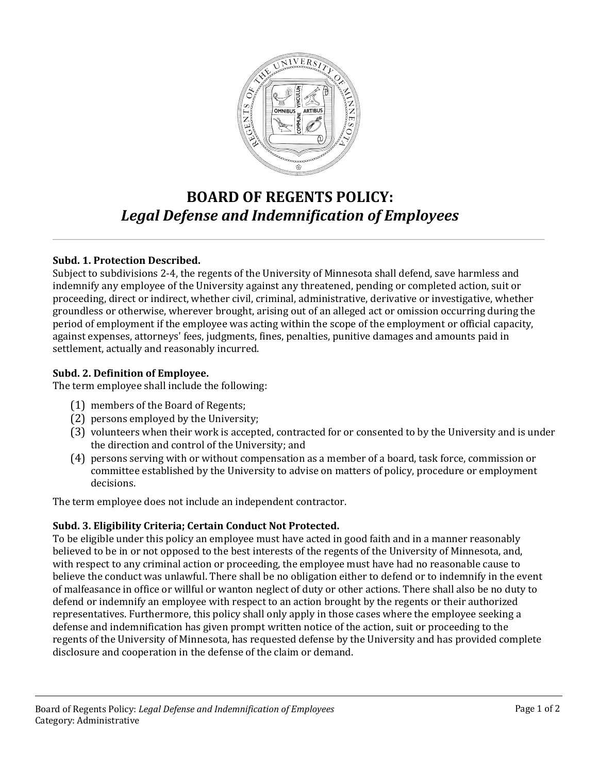

# **BOARD OF REGENTS POLICY:** *Legal Defense and Indemnification of Employees*

## **Subd. 1. Protection Described.**

Subject to subdivisions 2-4, the regents of the University of Minnesota shall defend, save harmless and indemnify any employee of the University against any threatened, pending or completed action, suit or proceeding, direct or indirect, whether civil, criminal, administrative, derivative or investigative, whether groundless or otherwise, wherever brought, arising out of an alleged act or omission occurring during the period of employment if the employee was acting within the scope of the employment or official capacity, against expenses, attorneys' fees, judgments, fines, penalties, punitive damages and amounts paid in settlement, actually and reasonably incurred.

### **Subd. 2. Definition of Employee.**

The term employee shall include the following:

- (1) members of the Board of Regents;
- (2) persons employed by the University;
- (3) volunteers when their work is accepted, contracted for or consented to by the University and is under the direction and control of the University; and
- (4) persons serving with or without compensation as a member of a board, task force, commission or committee established by the University to advise on matters of policy, procedure or employment decisions.

The term employee does not include an independent contractor.

## **Subd. 3. Eligibility Criteria; Certain Conduct Not Protected.**

To be eligible under this policy an employee must have acted in good faith and in a manner reasonably believed to be in or not opposed to the best interests of the regents of the University of Minnesota, and, with respect to any criminal action or proceeding, the employee must have had no reasonable cause to believe the conduct was unlawful. There shall be no obligation either to defend or to indemnify in the event of malfeasance in office or willful or wanton neglect of duty or other actions. There shall also be no duty to defend or indemnify an employee with respect to an action brought by the regents or their authorized representatives. Furthermore, this policy shall only apply in those cases where the employee seeking a defense and indemnification has given prompt written notice of the action, suit or proceeding to the regents of the University of Minnesota, has requested defense by the University and has provided complete disclosure and cooperation in the defense of the claim or demand.